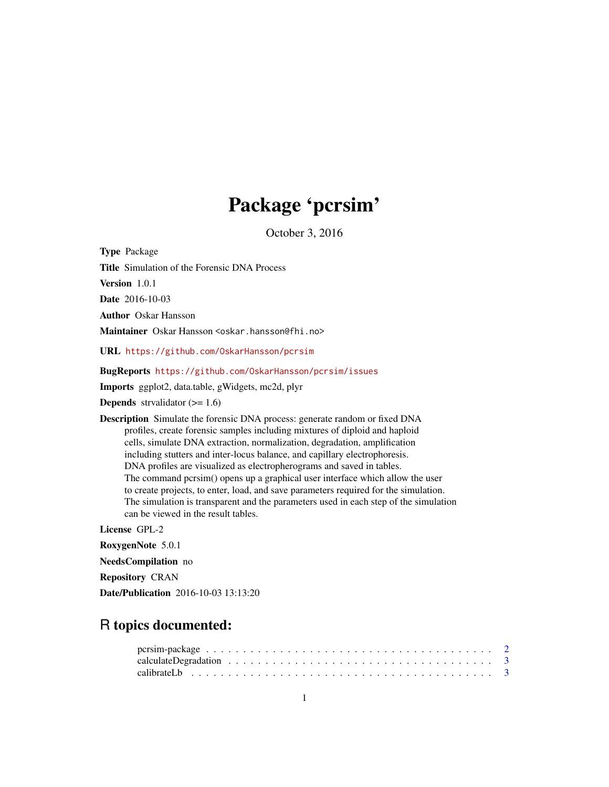# Package 'pcrsim'

October 3, 2016

<span id="page-0-0"></span>Type Package Title Simulation of the Forensic DNA Process Version 1.0.1 Date 2016-10-03 Author Oskar Hansson Maintainer Oskar Hansson <oskar.hansson@fhi.no> URL <https://github.com/OskarHansson/pcrsim> BugReports <https://github.com/OskarHansson/pcrsim/issues> Imports ggplot2, data.table, gWidgets, mc2d, plyr **Depends** strvalidator  $(>= 1.6)$ Description Simulate the forensic DNA process: generate random or fixed DNA profiles, create forensic samples including mixtures of diploid and haploid cells, simulate DNA extraction, normalization, degradation, amplification including stutters and inter-locus balance, and capillary electrophoresis. DNA profiles are visualized as electropherograms and saved in tables. The command pcrsim() opens up a graphical user interface which allow the user to create projects, to enter, load, and save parameters required for the simulation. The simulation is transparent and the parameters used in each step of the simulation can be viewed in the result tables.

License GPL-2

RoxygenNote 5.0.1 NeedsCompilation no Repository CRAN Date/Publication 2016-10-03 13:13:20

# R topics documented: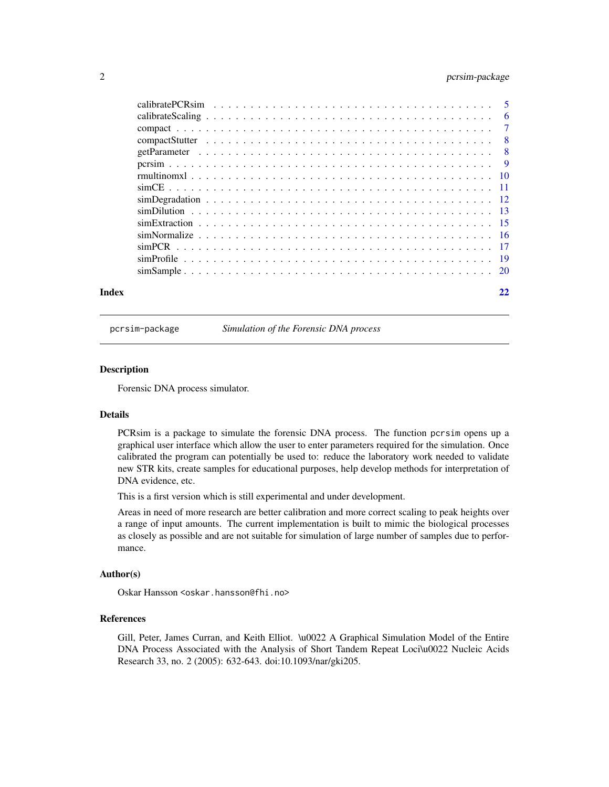# <span id="page-1-0"></span>2 pcrsim-package

| Index | 22 |
|-------|----|

pcrsim-package *Simulation of the Forensic DNA process*

#### Description

Forensic DNA process simulator.

# Details

PCRsim is a package to simulate the forensic DNA process. The function pcrsim opens up a graphical user interface which allow the user to enter parameters required for the simulation. Once calibrated the program can potentially be used to: reduce the laboratory work needed to validate new STR kits, create samples for educational purposes, help develop methods for interpretation of DNA evidence, etc.

This is a first version which is still experimental and under development.

Areas in need of more research are better calibration and more correct scaling to peak heights over a range of input amounts. The current implementation is built to mimic the biological processes as closely as possible and are not suitable for simulation of large number of samples due to performance.

#### Author(s)

Oskar Hansson <oskar.hansson@fhi.no>

#### References

Gill, Peter, James Curran, and Keith Elliot. \u0022 A Graphical Simulation Model of the Entire DNA Process Associated with the Analysis of Short Tandem Repeat Loci\u0022 Nucleic Acids Research 33, no. 2 (2005): 632-643. doi:10.1093/nar/gki205.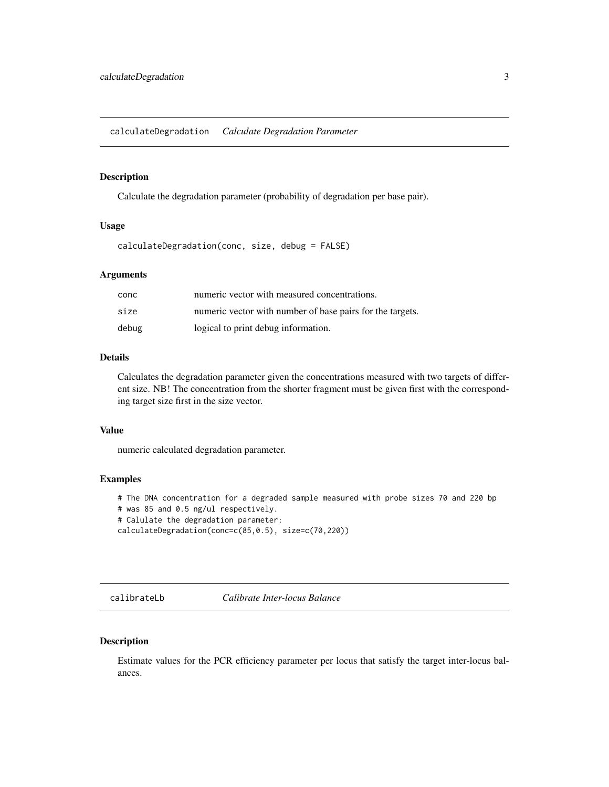<span id="page-2-0"></span>calculateDegradation *Calculate Degradation Parameter*

#### Description

Calculate the degradation parameter (probability of degradation per base pair).

#### Usage

calculateDegradation(conc, size, debug = FALSE)

#### Arguments

| conc  | numeric vector with measured concentrations.              |
|-------|-----------------------------------------------------------|
| size  | numeric vector with number of base pairs for the targets. |
| debug | logical to print debug information.                       |

# Details

Calculates the degradation parameter given the concentrations measured with two targets of different size. NB! The concentration from the shorter fragment must be given first with the corresponding target size first in the size vector.

#### Value

numeric calculated degradation parameter.

# Examples

# The DNA concentration for a degraded sample measured with probe sizes 70 and 220 bp # was 85 and 0.5 ng/ul respectively. # Calulate the degradation parameter: calculateDegradation(conc=c(85,0.5), size=c(70,220))

calibrateLb *Calibrate Inter-locus Balance*

# Description

Estimate values for the PCR efficiency parameter per locus that satisfy the target inter-locus balances.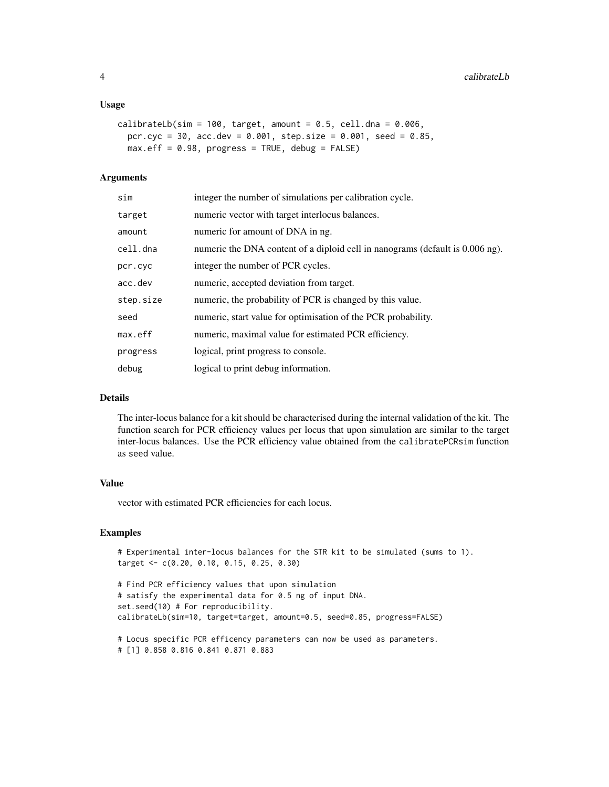#### Usage

```
calibrateLb(sim = 100, target, amount = 0.5, cell.dna = 0.006,
  pcr.cyc = 30, acc.dev = 0.001, step.size = 0.001, seed = 0.85,
 max.eff = 0.98, progress = TRUE, debug = FALSE)
```
#### Arguments

| sim       | integer the number of simulations per calibration cycle.                      |
|-----------|-------------------------------------------------------------------------------|
| target    | numeric vector with target interlocus balances.                               |
| amount    | numeric for amount of DNA in ng.                                              |
| cell.dna  | numeric the DNA content of a diploid cell in nanograms (default is 0.006 ng). |
| pcr.cyc   | integer the number of PCR cycles.                                             |
| acc.dev   | numeric, accepted deviation from target.                                      |
| step.size | numeric, the probability of PCR is changed by this value.                     |
| seed      | numeric, start value for optimisation of the PCR probability.                 |
| max.eff   | numeric, maximal value for estimated PCR efficiency.                          |
| progress  | logical, print progress to console.                                           |
| debug     | logical to print debug information.                                           |

#### Details

The inter-locus balance for a kit should be characterised during the internal validation of the kit. The function search for PCR efficiency values per locus that upon simulation are similar to the target inter-locus balances. Use the PCR efficiency value obtained from the calibratePCRsim function as seed value.

# Value

vector with estimated PCR efficiencies for each locus.

#### Examples

```
# Experimental inter-locus balances for the STR kit to be simulated (sums to 1).
target <- c(0.20, 0.10, 0.15, 0.25, 0.30)
```

```
# Find PCR efficiency values that upon simulation
# satisfy the experimental data for 0.5 ng of input DNA.
set.seed(10) # For reproducibility.
calibrateLb(sim=10, target=target, amount=0.5, seed=0.85, progress=FALSE)
# Locus specific PCR efficency parameters can now be used as parameters.
```

```
# [1] 0.858 0.816 0.841 0.871 0.883
```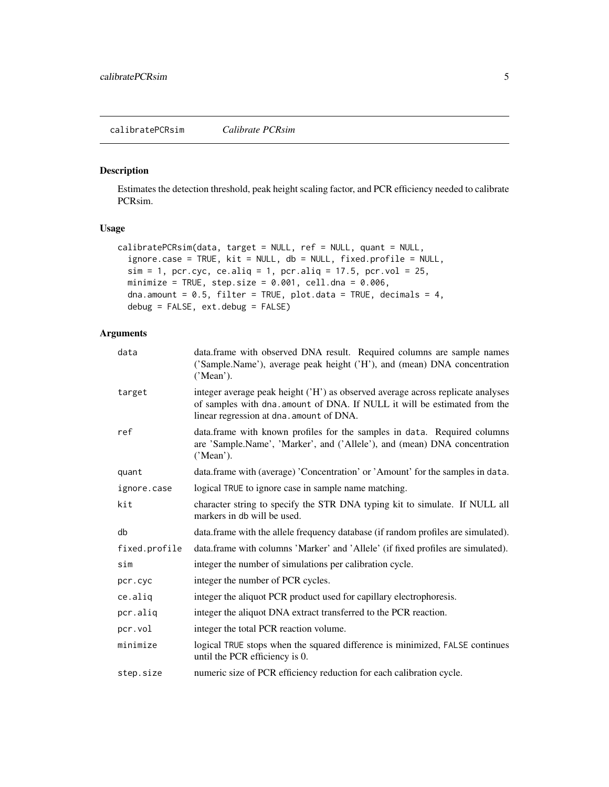# <span id="page-4-0"></span>Description

Estimates the detection threshold, peak height scaling factor, and PCR efficiency needed to calibrate PCRsim.

# Usage

```
calibratePCRsim(data, target = NULL, ref = NULL, quant = NULL,
  ignore.case = TRUE, kit = NULL, db = NULL, fixed.profile = NULL,
  sim = 1, pcr.cyc, ce.aliq = 1, pcr.aliq = 17.5, pcr.vol = 25,
 minimize = TRUE, step.size = 0.001, cell.dna = 0.006,
 dna.amount = 0.5, filter = TRUE, plot.data = TRUE, decimals = 4,
 debug = FALSE, ext.debug = FALSE)
```
# Arguments

| data          | data.frame with observed DNA result. Required columns are sample names<br>('Sample.Name'), average peak height ('H'), and (mean) DNA concentration<br>('Mean').                                          |
|---------------|----------------------------------------------------------------------------------------------------------------------------------------------------------------------------------------------------------|
| target        | integer average peak height ('H') as observed average across replicate analyses<br>of samples with dna. amount of DNA. If NULL it will be estimated from the<br>linear regression at dna. amount of DNA. |
| ref           | data.frame with known profiles for the samples in data. Required columns<br>are 'Sample.Name', 'Marker', and ('Allele'), and (mean) DNA concentration<br>('Mean').                                       |
| quant         | data.frame with (average) 'Concentration' or 'Amount' for the samples in data.                                                                                                                           |
| ignore.case   | logical TRUE to ignore case in sample name matching.                                                                                                                                                     |
| kit           | character string to specify the STR DNA typing kit to simulate. If NULL all<br>markers in db will be used.                                                                                               |
| db            | data.frame with the allele frequency database (if random profiles are simulated).                                                                                                                        |
| fixed.profile | data.frame with columns 'Marker' and 'Allele' (if fixed profiles are simulated).                                                                                                                         |
| sim           | integer the number of simulations per calibration cycle.                                                                                                                                                 |
| pcr.cyc       | integer the number of PCR cycles.                                                                                                                                                                        |
| ce.aliq       | integer the aliquot PCR product used for capillary electrophoresis.                                                                                                                                      |
| pcr.aliq      | integer the aliquot DNA extract transferred to the PCR reaction.                                                                                                                                         |
| pcr.vol       | integer the total PCR reaction volume.                                                                                                                                                                   |
| minimize      | logical TRUE stops when the squared difference is minimized, FALSE continues<br>until the PCR efficiency is 0.                                                                                           |
| step.size     | numeric size of PCR efficiency reduction for each calibration cycle.                                                                                                                                     |
|               |                                                                                                                                                                                                          |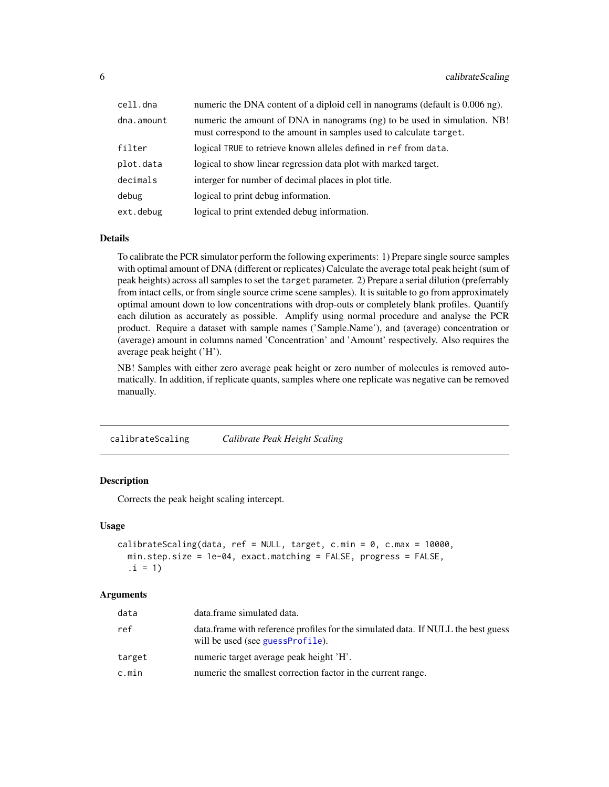<span id="page-5-0"></span>

| cell.dna   | numeric the DNA content of a diploid cell in nanograms (default is 0.006 ng).                                                                   |
|------------|-------------------------------------------------------------------------------------------------------------------------------------------------|
| dna.amount | numeric the amount of DNA in nanograms (ng) to be used in simulation. NB!<br>must correspond to the amount in samples used to calculate target. |
| filter     | logical TRUE to retrieve known alleles defined in ref from data.                                                                                |
| plot.data  | logical to show linear regression data plot with marked target.                                                                                 |
| decimals   | interger for number of decimal places in plot title.                                                                                            |
| debug      | logical to print debug information.                                                                                                             |
| ext.debug  | logical to print extended debug information.                                                                                                    |

#### Details

To calibrate the PCR simulator perform the following experiments: 1) Prepare single source samples with optimal amount of DNA (different or replicates) Calculate the average total peak height (sum of peak heights) across all samples to set the target parameter. 2) Prepare a serial dilution (preferrably from intact cells, or from single source crime scene samples). It is suitable to go from approximately optimal amount down to low concentrations with drop-outs or completely blank profiles. Quantify each dilution as accurately as possible. Amplify using normal procedure and analyse the PCR product. Require a dataset with sample names ('Sample.Name'), and (average) concentration or (average) amount in columns named 'Concentration' and 'Amount' respectively. Also requires the average peak height ('H').

NB! Samples with either zero average peak height or zero number of molecules is removed automatically. In addition, if replicate quants, samples where one replicate was negative can be removed manually.

calibrateScaling *Calibrate Peak Height Scaling*

# **Description**

Corrects the peak height scaling intercept.

#### Usage

```
calibrateScaling(data, ref = NULL, target, c.min = 0, c.max = 10000,
 min.step.size = 1e-04, exact.matching = FALSE, progress = FALSE,
 .i = 1)
```
#### Arguments

| data   | data.frame simulated data.                                                                                            |
|--------|-----------------------------------------------------------------------------------------------------------------------|
| ref    | data frame with reference profiles for the simulated data. If NULL the best guess<br>will be used (see guessProfile). |
| target | numeric target average peak height 'H'.                                                                               |
| c.min  | numeric the smallest correction factor in the current range.                                                          |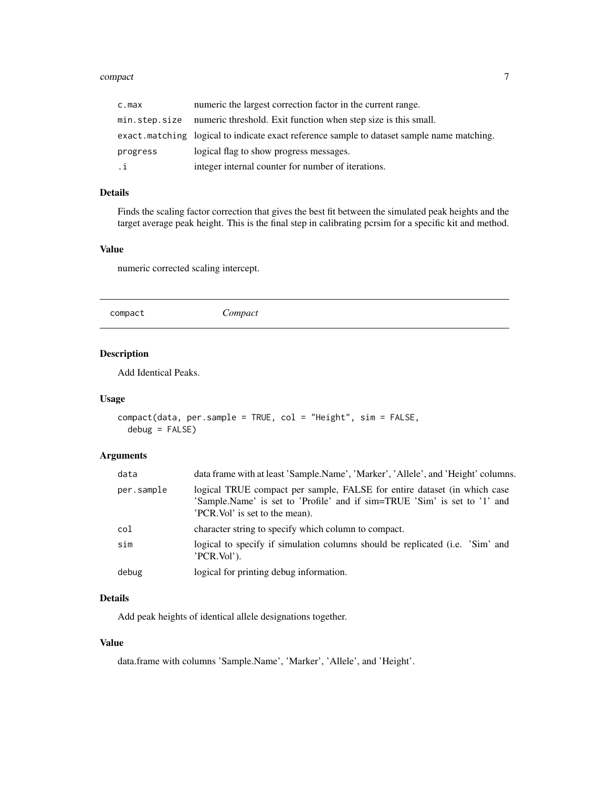#### <span id="page-6-0"></span>compact 7 and 2008 and 2008 and 2008 and 2008 and 2008 and 2008 and 2008 and 2008 and 2008 and 2008 and 2008 and 2008 and 2008 and 2008 and 2008 and 2008 and 2008 and 2008 and 2008 and 2008 and 2008 and 2008 and 2008 and 2

| c.max         | numeric the largest correction factor in the current range.                                |
|---------------|--------------------------------------------------------------------------------------------|
| min.step.size | numeric threshold. Exit function when step size is this small.                             |
|               | exact.matching logical to indicate exact reference sample to dataset sample name matching. |
| progress      | logical flag to show progress messages.                                                    |
| .i            | integer internal counter for number of iterations.                                         |

# Details

Finds the scaling factor correction that gives the best fit between the simulated peak heights and the target average peak height. This is the final step in calibrating pcrsim for a specific kit and method.

# Value

numeric corrected scaling intercept.

compact *Compact*

# Description

Add Identical Peaks.

# Usage

```
compact(data, per.sample = TRUE, col = "Height", sim = FALSE,
  debug = FALSE)
```
# Arguments

| data       | data frame with at least 'Sample.Name', 'Marker', 'Allele', and 'Height' columns.                                                                                                       |
|------------|-----------------------------------------------------------------------------------------------------------------------------------------------------------------------------------------|
| per.sample | logical TRUE compact per sample, FALSE for entire dataset (in which case<br>'Sample.Name' is set to 'Profile' and if sim=TRUE 'Sim' is set to '1' and<br>'PCR.Vol' is set to the mean). |
| col        | character string to specify which column to compact.                                                                                                                                    |
| sim        | logical to specify if simulation columns should be replicated (i.e. 'Sim' and<br>'PCR.Vol'.                                                                                             |
| debug      | logical for printing debug information.                                                                                                                                                 |

# Details

Add peak heights of identical allele designations together.

#### Value

data.frame with columns 'Sample.Name', 'Marker', 'Allele', and 'Height'.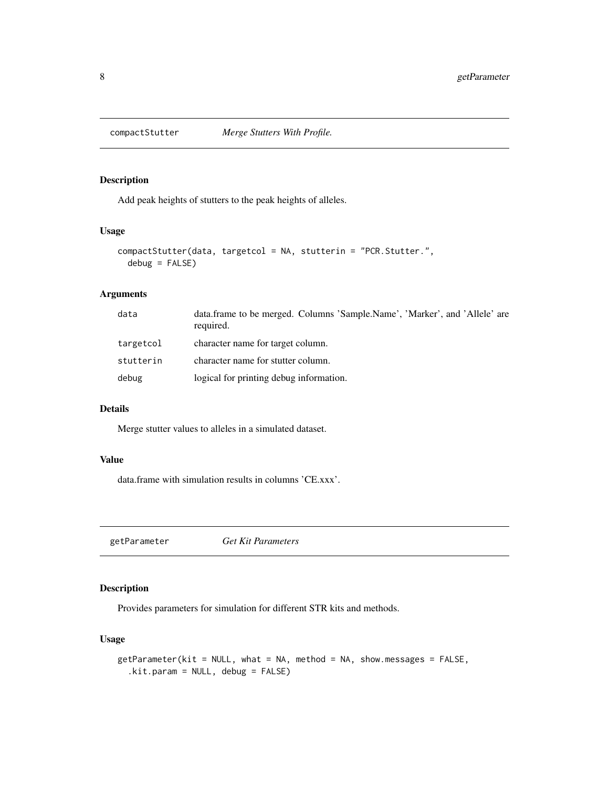<span id="page-7-0"></span>

# Description

Add peak heights of stutters to the peak heights of alleles.

# Usage

```
compactStutter(data, targetcol = NA, stutterin = "PCR.Stutter.",
  debug = FALSE)
```
#### Arguments

| data      | data.frame to be merged. Columns 'Sample.Name', 'Marker', and 'Allele' are<br>required. |
|-----------|-----------------------------------------------------------------------------------------|
| targetcol | character name for target column.                                                       |
| stutterin | character name for stutter column.                                                      |
| debug     | logical for printing debug information.                                                 |

#### Details

Merge stutter values to alleles in a simulated dataset.

#### Value

data.frame with simulation results in columns 'CE.xxx'.

getParameter *Get Kit Parameters*

# Description

Provides parameters for simulation for different STR kits and methods.

# Usage

```
getParameter(kit = NULL, what = NA, method = NA, show.messages = FALSE,
  .kit.param = NULL, debug = FALSE)
```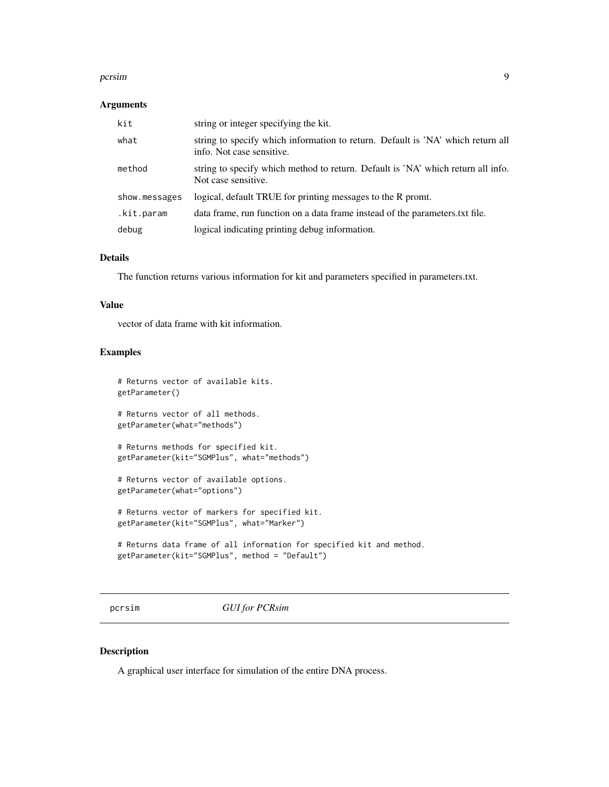#### <span id="page-8-0"></span>pcrsim and the set of the set of the set of the set of the set of the set of the set of the set of the set of the set of the set of the set of the set of the set of the set of the set of the set of the set of the set of th

# Arguments

| kit           | string or integer specifying the kit.                                                                        |
|---------------|--------------------------------------------------------------------------------------------------------------|
| what          | string to specify which information to return. Default is 'NA' which return all<br>info. Not case sensitive. |
| method        | string to specify which method to return. Default is 'NA' which return all info.<br>Not case sensitive.      |
| show.messages | logical, default TRUE for printing messages to the R promt.                                                  |
| .kit.param    | data frame, run function on a data frame instead of the parameters, txt file.                                |
| debug         | logical indicating printing debug information.                                                               |

# Details

The function returns various information for kit and parameters specified in parameters.txt.

#### Value

vector of data frame with kit information.

# Examples

```
# Returns vector of available kits.
getParameter()
# Returns vector of all methods.
getParameter(what="methods")
# Returns methods for specified kit.
getParameter(kit="SGMPlus", what="methods")
# Returns vector of available options.
getParameter(what="options")
# Returns vector of markers for specified kit.
getParameter(kit="SGMPlus", what="Marker")
# Returns data frame of all information for specified kit and method.
getParameter(kit="SGMPlus", method = "Default")
```
pcrsim *GUI for PCRsim*

#### Description

A graphical user interface for simulation of the entire DNA process.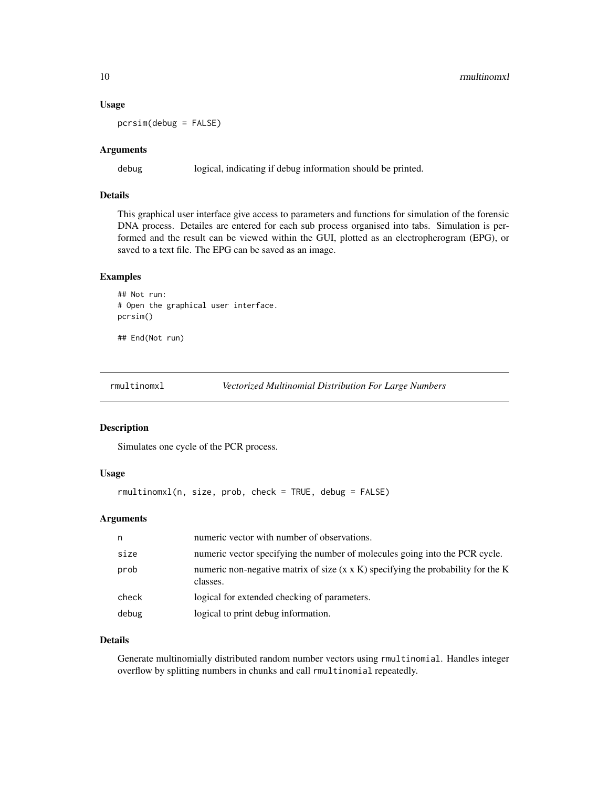#### <span id="page-9-0"></span>Usage

pcrsim(debug = FALSE)

#### Arguments

debug logical, indicating if debug information should be printed.

#### Details

This graphical user interface give access to parameters and functions for simulation of the forensic DNA process. Detailes are entered for each sub process organised into tabs. Simulation is performed and the result can be viewed within the GUI, plotted as an electropherogram (EPG), or saved to a text file. The EPG can be saved as an image.

#### Examples

```
## Not run:
# Open the graphical user interface.
pcrsim()
```
## End(Not run)

rmultinomxl *Vectorized Multinomial Distribution For Large Numbers*

#### Description

Simulates one cycle of the PCR process.

#### Usage

rmultinomxl(n, size, prob, check = TRUE, debug = FALSE)

### Arguments

| n     | numeric vector with number of observations.                                                         |
|-------|-----------------------------------------------------------------------------------------------------|
| size  | numeric vector specifying the number of molecules going into the PCR cycle.                         |
| prob  | numeric non-negative matrix of size $(x \times K)$ specifying the probability for the K<br>classes. |
| check | logical for extended checking of parameters.                                                        |
| debug | logical to print debug information.                                                                 |

# Details

Generate multinomially distributed random number vectors using rmultinomial. Handles integer overflow by splitting numbers in chunks and call rmultinomial repeatedly.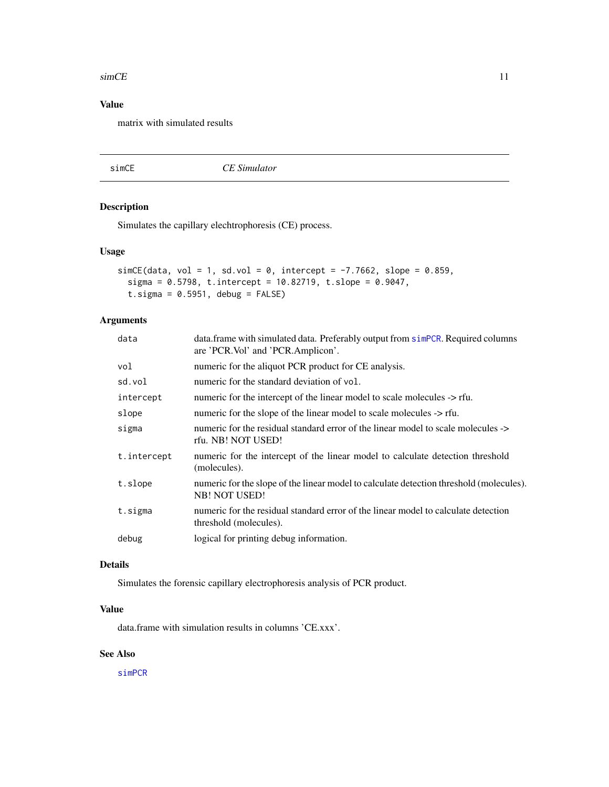#### <span id="page-10-0"></span> $\text{simCE}$  11

# Value

matrix with simulated results

simCE *CE Simulator*

# Description

Simulates the capillary elechtrophoresis (CE) process.

# Usage

```
simCE(data, vol = 1, sd.vol = 0, intercept = -7.7662, slope = 0.859,
  sigma = 0.5798, t.intercept = 10.82719, t.slope = 0.9047,
  t.sigma = 0.5951, debug = FALSE)
```
# Arguments

| data        | data.frame with simulated data. Preferably output from simpcR. Required columns<br>are 'PCR.Vol' and 'PCR.Amplicon'. |
|-------------|----------------------------------------------------------------------------------------------------------------------|
| vol         | numeric for the aliquot PCR product for CE analysis.                                                                 |
| sd.vol      | numeric for the standard deviation of vol.                                                                           |
| intercept   | numeric for the intercept of the linear model to scale molecules -> rfu.                                             |
| slope       | numeric for the slope of the linear model to scale molecules -> rfu.                                                 |
| sigma       | numeric for the residual standard error of the linear model to scale molecules -><br>rfu. NB! NOT USED!              |
| t.intercept | numeric for the intercept of the linear model to calculate detection threshold<br>(molecules).                       |
| t.slope     | numeric for the slope of the linear model to calculate detection threshold (molecules).<br><b>NB! NOT USED!</b>      |
| t.sigma     | numeric for the residual standard error of the linear model to calculate detection<br>threshold (molecules).         |
| debug       | logical for printing debug information.                                                                              |

# Details

Simulates the forensic capillary electrophoresis analysis of PCR product.

# Value

data.frame with simulation results in columns 'CE.xxx'.

# See Also

[simPCR](#page-16-1)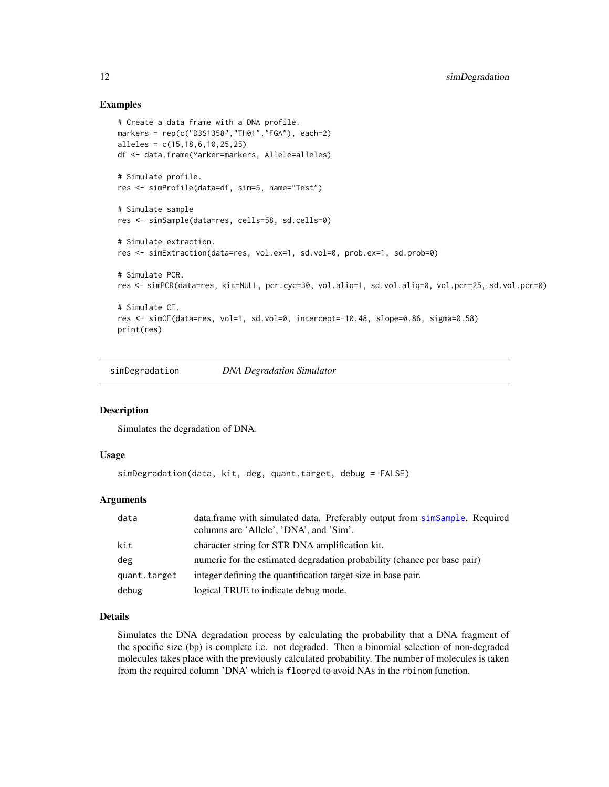#### Examples

```
# Create a data frame with a DNA profile.
markers = rep(c("D3S1358","TH01","FGA"), each=2)
alleles = c(15,18,6,10,25,25)
df <- data.frame(Marker=markers, Allele=alleles)
# Simulate profile.
res <- simProfile(data=df, sim=5, name="Test")
# Simulate sample
res <- simSample(data=res, cells=58, sd.cells=0)
# Simulate extraction.
res <- simExtraction(data=res, vol.ex=1, sd.vol=0, prob.ex=1, sd.prob=0)
# Simulate PCR.
res <- simPCR(data=res, kit=NULL, pcr.cyc=30, vol.aliq=1, sd.vol.aliq=0, vol.pcr=25, sd.vol.pcr=0)
# Simulate CE.
res <- simCE(data=res, vol=1, sd.vol=0, intercept=-10.48, slope=0.86, sigma=0.58)
print(res)
```
<span id="page-11-1"></span>simDegradation *DNA Degradation Simulator*

# Description

Simulates the degradation of DNA.

#### Usage

```
simDegradation(data, kit, deg, quant.target, debug = FALSE)
```
#### Arguments

| data         | data.frame with simulated data. Preferably output from simsample. Required<br>columns are 'Allele', 'DNA', and 'Sim'. |
|--------------|-----------------------------------------------------------------------------------------------------------------------|
| kit          | character string for STR DNA amplification kit.                                                                       |
| deg          | numeric for the estimated degradation probability (chance per base pair)                                              |
| quant.target | integer defining the quantification target size in base pair.                                                         |
| debug        | logical TRUE to indicate debug mode.                                                                                  |

#### Details

Simulates the DNA degradation process by calculating the probability that a DNA fragment of the specific size (bp) is complete i.e. not degraded. Then a binomial selection of non-degraded molecules takes place with the previously calculated probability. The number of molecules is taken from the required column 'DNA' which is floored to avoid NAs in the rbinom function.

<span id="page-11-0"></span>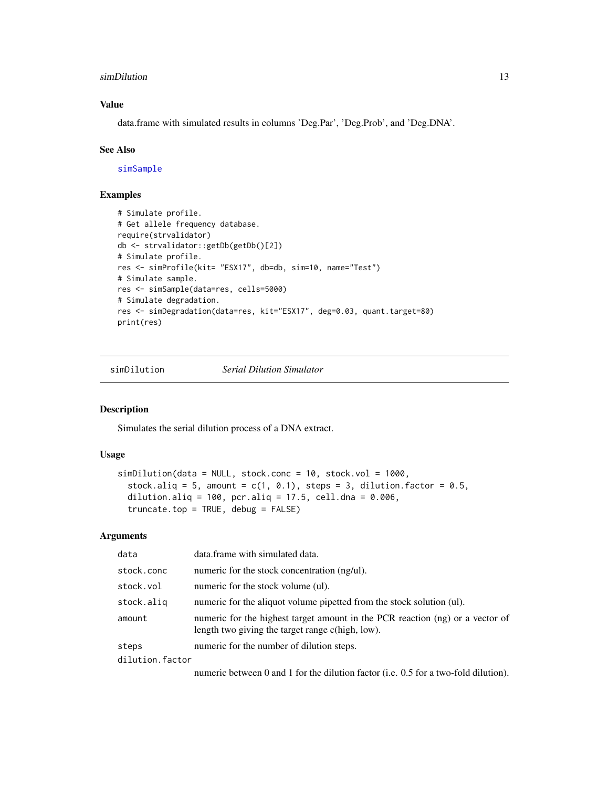#### <span id="page-12-0"></span>simDilution and the state of the state of the state of the state of the state of the state of the state of the state of the state of the state of the state of the state of the state of the state of the state of the state o

# Value

data.frame with simulated results in columns 'Deg.Par', 'Deg.Prob', and 'Deg.DNA'.

#### See Also

[simSample](#page-19-1)

# Examples

```
# Simulate profile.
# Get allele frequency database.
require(strvalidator)
db <- strvalidator::getDb(getDb()[2])
# Simulate profile.
res <- simProfile(kit= "ESX17", db=db, sim=10, name="Test")
# Simulate sample.
res <- simSample(data=res, cells=5000)
# Simulate degradation.
res <- simDegradation(data=res, kit="ESX17", deg=0.03, quant.target=80)
print(res)
```
simDilution *Serial Dilution Simulator*

#### Description

Simulates the serial dilution process of a DNA extract.

#### Usage

```
simDilution(data = NULL, stock.conc = 10, stock.vol = 1000,
  stock.aliq = 5, amount = c(1, 0.1), steps = 3, dilution.factor = 0.5,
 dilution.aliq = 100, pcr.aliq = 17.5, cell.dna = 0.006,
  truncated.top = TRUE, debug = FALSE)
```
# Arguments

| data            | data.frame with simulated data.                                                                                                   |
|-----------------|-----------------------------------------------------------------------------------------------------------------------------------|
| stock.conc      | numeric for the stock concentration (ng/ul).                                                                                      |
| stock.vol       | numeric for the stock volume (ul).                                                                                                |
| stock.alig      | numeric for the aliquot volume pipetted from the stock solution (ul).                                                             |
| amount          | numeric for the highest target amount in the PCR reaction (ng) or a vector of<br>length two giving the target range c(high, low). |
| steps           | numeric for the number of dilution steps.                                                                                         |
| dilution.factor |                                                                                                                                   |

numeric between 0 and 1 for the dilution factor (i.e. 0.5 for a two-fold dilution).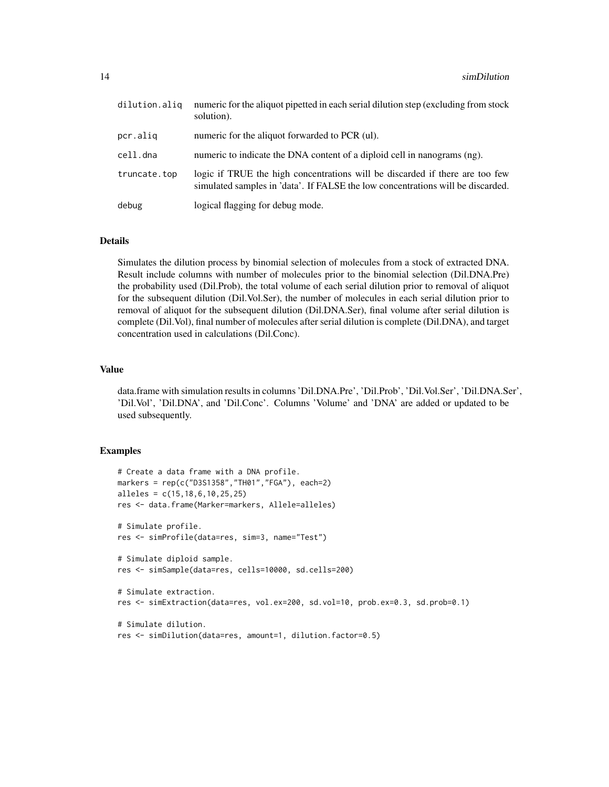| dilution.aliq | numeric for the aliquot pipetted in each serial dilution step (excluding from stock<br>solution).                                                               |
|---------------|-----------------------------------------------------------------------------------------------------------------------------------------------------------------|
| pcr.alig      | numeric for the aliquot forwarded to PCR (ul).                                                                                                                  |
| cell.dna      | numeric to indicate the DNA content of a diploid cell in nanograms (ng).                                                                                        |
| truncate.top  | logic if TRUE the high concentrations will be discarded if there are too few<br>simulated samples in 'data'. If FALSE the low concentrations will be discarded. |
| debug         | logical flagging for debug mode.                                                                                                                                |

# Details

Simulates the dilution process by binomial selection of molecules from a stock of extracted DNA. Result include columns with number of molecules prior to the binomial selection (Dil.DNA.Pre) the probability used (Dil.Prob), the total volume of each serial dilution prior to removal of aliquot for the subsequent dilution (Dil.Vol.Ser), the number of molecules in each serial dilution prior to removal of aliquot for the subsequent dilution (Dil.DNA.Ser), final volume after serial dilution is complete (Dil.Vol), final number of molecules after serial dilution is complete (Dil.DNA), and target concentration used in calculations (Dil.Conc).

#### Value

data.frame with simulation results in columns 'Dil.DNA.Pre', 'Dil.Prob', 'Dil.Vol.Ser', 'Dil.DNA.Ser', 'Dil.Vol', 'Dil.DNA', and 'Dil.Conc'. Columns 'Volume' and 'DNA' are added or updated to be used subsequently.

#### Examples

```
# Create a data frame with a DNA profile.
markers = rep(c("D3S1358","TH01","FGA"), each=2)
alleles = c(15,18,6,10,25,25)
res <- data.frame(Marker=markers, Allele=alleles)
# Simulate profile.
res <- simProfile(data=res, sim=3, name="Test")
# Simulate diploid sample.
res <- simSample(data=res, cells=10000, sd.cells=200)
# Simulate extraction.
res <- simExtraction(data=res, vol.ex=200, sd.vol=10, prob.ex=0.3, sd.prob=0.1)
# Simulate dilution.
res <- simDilution(data=res, amount=1, dilution.factor=0.5)
```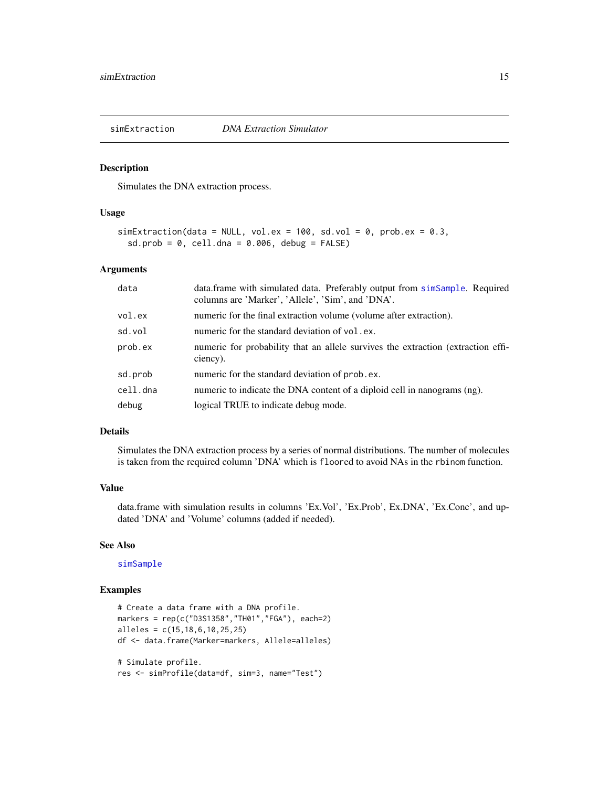<span id="page-14-1"></span><span id="page-14-0"></span>

#### Description

Simulates the DNA extraction process.

# Usage

```
simExtraction(data = NULL, vol.ex = 100, sd.vol = 0, prob.ex = 0.3,sd.prob = 0, cell.dna = 0.006, debug = FALSE)
```
# Arguments

| data     | data.frame with simulated data. Preferably output from simSample. Required<br>columns are 'Marker', 'Allele', 'Sim', and 'DNA'. |
|----------|---------------------------------------------------------------------------------------------------------------------------------|
| vol.ex   | numeric for the final extraction volume (volume after extraction).                                                              |
| sd.vol   | numeric for the standard deviation of vol.ex.                                                                                   |
| prob.ex  | numeric for probability that an allele survives the extraction (extraction effi-<br>ciency).                                    |
| sd.prob  | numeric for the standard deviation of prob.ex.                                                                                  |
| cell.dna | numeric to indicate the DNA content of a diploid cell in nanograms (ng).                                                        |
| debug    | logical TRUE to indicate debug mode.                                                                                            |

# Details

Simulates the DNA extraction process by a series of normal distributions. The number of molecules is taken from the required column 'DNA' which is floored to avoid NAs in the rbinom function.

# Value

data.frame with simulation results in columns 'Ex.Vol', 'Ex.Prob', Ex.DNA', 'Ex.Conc', and updated 'DNA' and 'Volume' columns (added if needed).

#### See Also

[simSample](#page-19-1)

# Examples

```
# Create a data frame with a DNA profile.
markers = rep(c("D3S1358","TH01","FGA"), each=2)
alleles = c(15,18,6,10,25,25)
df <- data.frame(Marker=markers, Allele=alleles)
# Simulate profile.
res <- simProfile(data=df, sim=3, name="Test")
```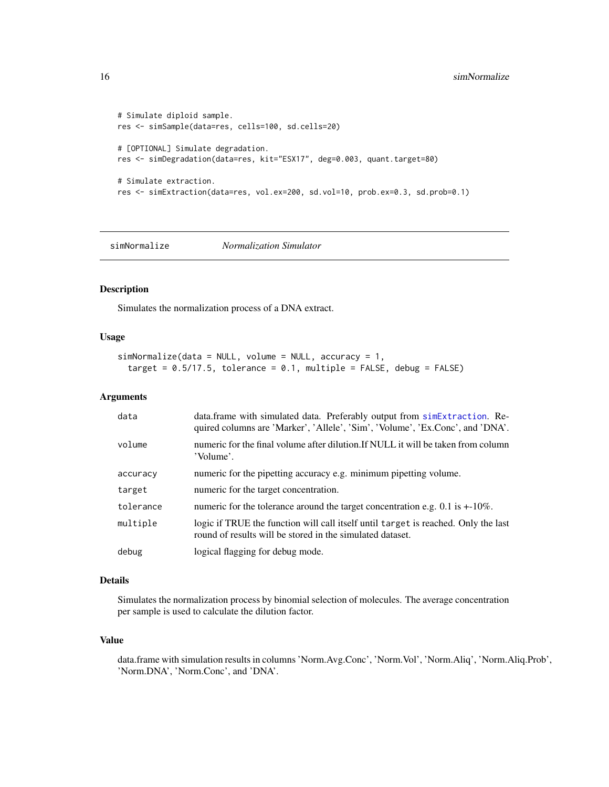```
# Simulate diploid sample.
res <- simSample(data=res, cells=100, sd.cells=20)
# [OPTIONAL] Simulate degradation.
res <- simDegradation(data=res, kit="ESX17", deg=0.003, quant.target=80)
# Simulate extraction.
res <- simExtraction(data=res, vol.ex=200, sd.vol=10, prob.ex=0.3, sd.prob=0.1)
```
simNormalize *Normalization Simulator*

# Description

Simulates the normalization process of a DNA extract.

#### Usage

```
simNormalize(data = NULL, volume = NULL, accuracy = 1,target = 0.5/17.5, tolerance = 0.1, multiple = FALSE, debug = FALSE)
```
#### Arguments

| data      | data.frame with simulated data. Preferably output from sime straction. Re-<br>quired columns are 'Marker', 'Allele', 'Sim', 'Volume', 'Ex.Conc', and 'DNA'. |
|-----------|-------------------------------------------------------------------------------------------------------------------------------------------------------------|
| volume    | numeric for the final volume after dilution. If NULL it will be taken from column<br>'Volume'.                                                              |
| accuracy  | numeric for the pipetting accuracy e.g. minimum pipetting volume.                                                                                           |
| target    | numeric for the target concentration.                                                                                                                       |
| tolerance | numeric for the tolerance around the target concentration e.g. 0.1 is $+10\%$ .                                                                             |
| multiple  | logic if TRUE the function will call itself until target is reached. Only the last<br>round of results will be stored in the simulated dataset.             |
| debug     | logical flagging for debug mode.                                                                                                                            |

# Details

Simulates the normalization process by binomial selection of molecules. The average concentration per sample is used to calculate the dilution factor.

#### Value

data.frame with simulation results in columns 'Norm.Avg.Conc', 'Norm.Vol', 'Norm.Aliq', 'Norm.Aliq.Prob', 'Norm.DNA', 'Norm.Conc', and 'DNA'.

<span id="page-15-0"></span>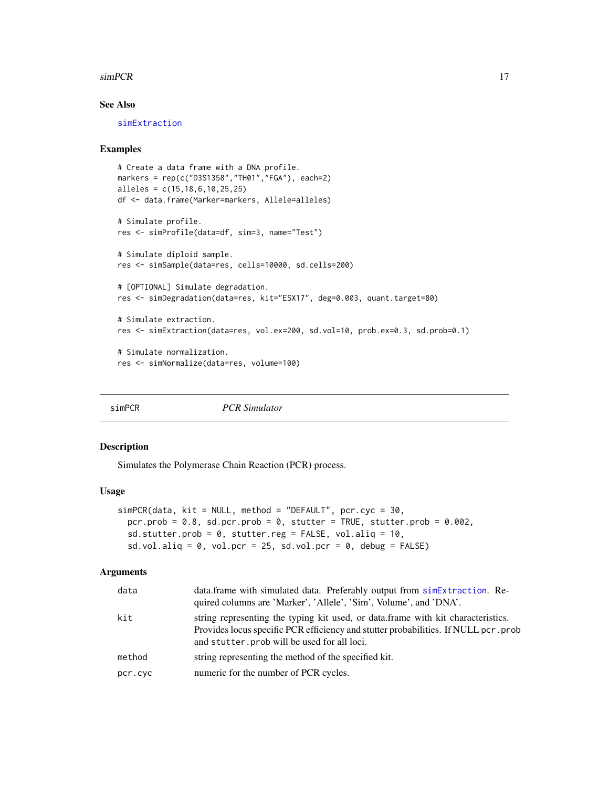#### <span id="page-16-0"></span> $simpleR$  17

# See Also

[simExtraction](#page-14-1)

#### Examples

```
# Create a data frame with a DNA profile.
markers = rep(c("D3S1358","TH01","FGA"), each=2)
alleles = c(15,18,6,10,25,25)
df <- data.frame(Marker=markers, Allele=alleles)
# Simulate profile.
res <- simProfile(data=df, sim=3, name="Test")
# Simulate diploid sample.
res <- simSample(data=res, cells=10000, sd.cells=200)
# [OPTIONAL] Simulate degradation.
res <- simDegradation(data=res, kit="ESX17", deg=0.003, quant.target=80)
# Simulate extraction.
res <- simExtraction(data=res, vol.ex=200, sd.vol=10, prob.ex=0.3, sd.prob=0.1)
# Simulate normalization.
res <- simNormalize(data=res, volume=100)
```
<span id="page-16-1"></span>

simPCR *PCR Simulator*

#### Description

Simulates the Polymerase Chain Reaction (PCR) process.

#### Usage

```
simPCR(data, kit = NULL, method = "DEFAULT", pcr.cyc = 30,
 pcr.prob = 0.8, sd.pcr.prob = 0, stutter = TRUE, stutter.prob = 0.002,
  sd.stutter.prob = 0, stutter.reg = FALSE, vol.aliq = 10,
  sd.vol.aliq = 0, vol.pcr = 25, sd.vol.pcr = 0, debug = FALSE)
```
#### Arguments

| data    | data.frame with simulated data. Preferably output from simExtraction. Re-<br>quired columns are 'Marker', 'Allele', 'Sim', Volume', and 'DNA'.                                                                          |
|---------|-------------------------------------------------------------------------------------------------------------------------------------------------------------------------------------------------------------------------|
| kit     | string representing the typing kit used, or data frame with kit characteristics.<br>Provides locus specific PCR efficiency and stutter probabilities. If NULL pcr. prob<br>and stutter. prob will be used for all loci. |
| method  | string representing the method of the specified kit.                                                                                                                                                                    |
| pcr.cyc | numeric for the number of PCR cycles.                                                                                                                                                                                   |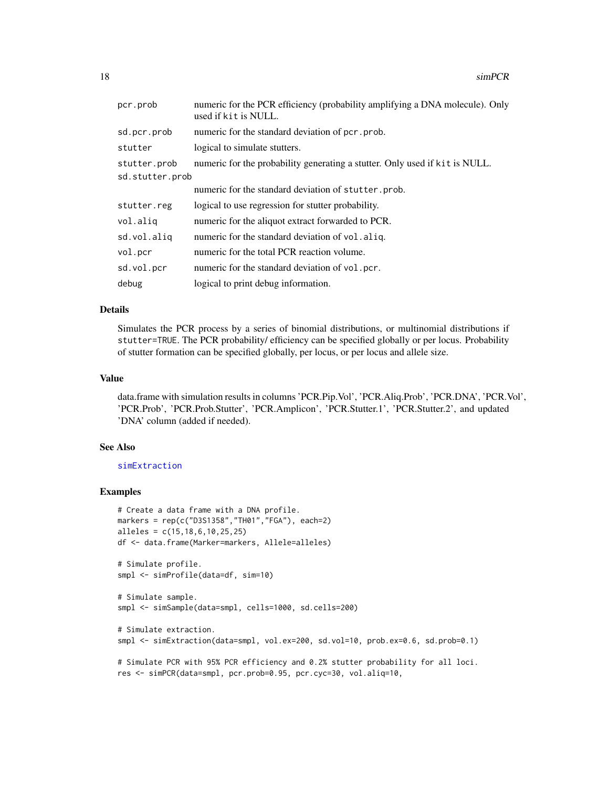<span id="page-17-0"></span>

| pcr.prob        | numeric for the PCR efficiency (probability amplifying a DNA molecule). Only<br>used if kit is NULL. |
|-----------------|------------------------------------------------------------------------------------------------------|
| sd.pcr.prob     | numeric for the standard deviation of pcr. prob.                                                     |
| stutter         | logical to simulate stutters.                                                                        |
| stutter.prob    | numeric for the probability generating a stutter. Only used if kit is NULL.                          |
| sd.stutter.prob |                                                                                                      |
|                 | numeric for the standard deviation of stutter.prob.                                                  |
| stutter.reg     | logical to use regression for stutter probability.                                                   |
| vol.alig        | numeric for the aliquot extract forwarded to PCR.                                                    |
| sd.vol.alig     | numeric for the standard deviation of vol. aliq.                                                     |
| vol.pcr         | numeric for the total PCR reaction volume.                                                           |
| sd.vol.pcr      | numeric for the standard deviation of vol.pcr.                                                       |
| debug           | logical to print debug information.                                                                  |

#### Details

Simulates the PCR process by a series of binomial distributions, or multinomial distributions if stutter=TRUE. The PCR probability/ efficiency can be specified globally or per locus. Probability of stutter formation can be specified globally, per locus, or per locus and allele size.

# Value

data.frame with simulation results in columns 'PCR.Pip.Vol', 'PCR.Aliq.Prob', 'PCR.DNA', 'PCR.Vol', 'PCR.Prob', 'PCR.Prob.Stutter', 'PCR.Amplicon', 'PCR.Stutter.1', 'PCR.Stutter.2', and updated 'DNA' column (added if needed).

# See Also

[simExtraction](#page-14-1)

# Examples

```
# Create a data frame with a DNA profile.
markers = rep(c("D3S1358","TH01","FGA"), each=2)
alleles = c(15,18,6,10,25,25)
df <- data.frame(Marker=markers, Allele=alleles)
```
# Simulate profile. smpl <- simProfile(data=df, sim=10)

```
# Simulate sample.
smpl <- simSample(data=smpl, cells=1000, sd.cells=200)
```

```
# Simulate extraction.
smpl <- simExtraction(data=smpl, vol.ex=200, sd.vol=10, prob.ex=0.6, sd.prob=0.1)
```
# Simulate PCR with 95% PCR efficiency and 0.2% stutter probability for all loci. res <- simPCR(data=smpl, pcr.prob=0.95, pcr.cyc=30, vol.aliq=10,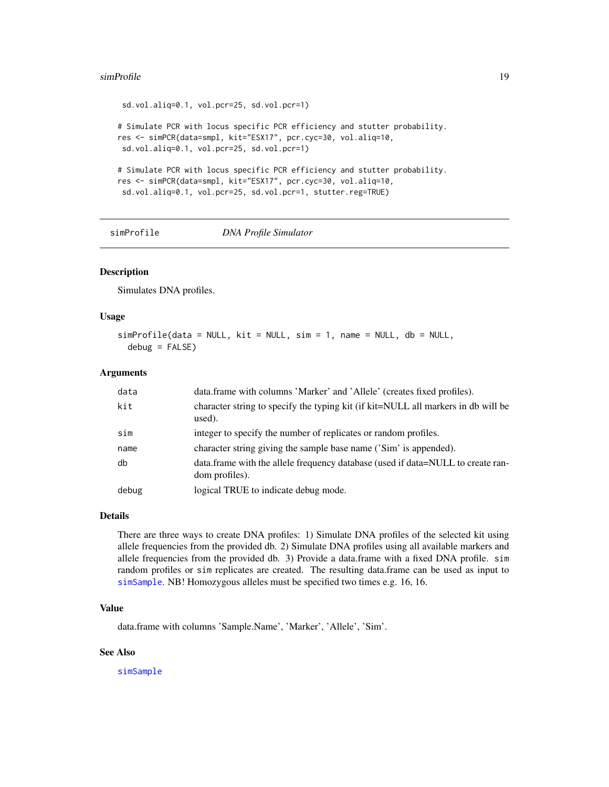#### <span id="page-18-0"></span>simProfile that the contract of the contract of the contract of the contract of the contract of the contract of the contract of the contract of the contract of the contract of the contract of the contract of the contract o

```
sd.vol.aliq=0.1, vol.pcr=25, sd.vol.pcr=1)
# Simulate PCR with locus specific PCR efficiency and stutter probability.
res <- simPCR(data=smpl, kit="ESX17", pcr.cyc=30, vol.aliq=10,
sd.vol.aliq=0.1, vol.pcr=25, sd.vol.pcr=1)
# Simulate PCR with locus specific PCR efficiency and stutter probability.
res <- simPCR(data=smpl, kit="ESX17", pcr.cyc=30, vol.aliq=10,
sd.vol.aliq=0.1, vol.pcr=25, sd.vol.pcr=1, stutter.reg=TRUE)
```
<span id="page-18-1"></span>

simProfile *DNA Profile Simulator*

#### Description

Simulates DNA profiles.

#### Usage

 $simProfitedata = NULL, kit = NULL, sim = 1, name = NULL, db = NULL,$ debug = FALSE)

#### Arguments

| data  | data.frame with columns 'Marker' and 'Allele' (creates fixed profiles).                            |
|-------|----------------------------------------------------------------------------------------------------|
| kit   | character string to specify the typing kit (if kit=NULL all markers in db will be<br>used).        |
| sim   | integer to specify the number of replicates or random profiles.                                    |
| name  | character string giving the sample base name ('Sim' is appended).                                  |
| db    | data. frame with the allele frequency database (used if data=NULL to create ran-<br>dom profiles). |
| debug | logical TRUE to indicate debug mode.                                                               |

#### Details

There are three ways to create DNA profiles: 1) Simulate DNA profiles of the selected kit using allele frequencies from the provided db. 2) Simulate DNA profiles using all available markers and allele frequencies from the provided db. 3) Provide a data.frame with a fixed DNA profile. sim random profiles or sim replicates are created. The resulting data.frame can be used as input to [simSample](#page-19-1). NB! Homozygous alleles must be specified two times e.g. 16, 16.

# Value

data.frame with columns 'Sample.Name', 'Marker', 'Allele', 'Sim'.

#### See Also

[simSample](#page-19-1)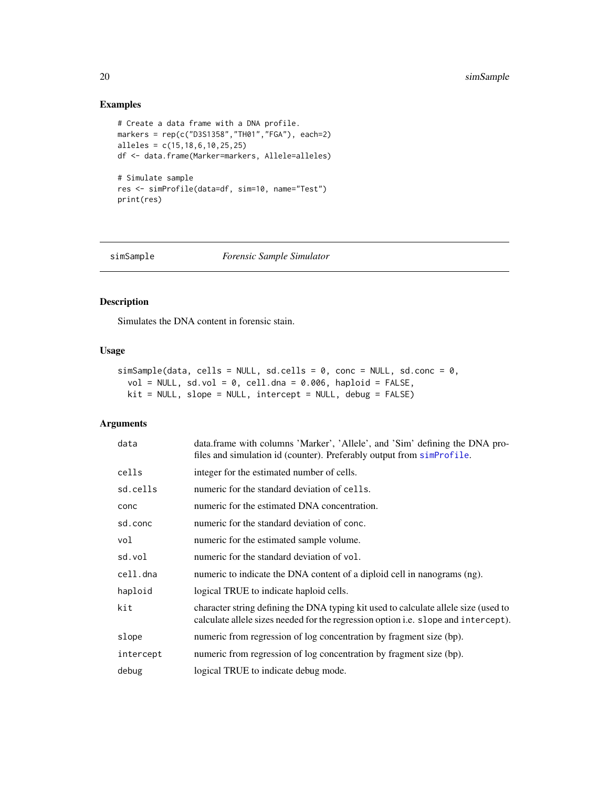# Examples

```
# Create a data frame with a DNA profile.
markers = rep(c("D3S1358","TH01","FGA"), each=2)
alleles = c(15,18,6,10,25,25)
df <- data.frame(Marker=markers, Allele=alleles)
# Simulate sample
res <- simProfile(data=df, sim=10, name="Test")
print(res)
```
<span id="page-19-1"></span>

simSample *Forensic Sample Simulator*

# Description

Simulates the DNA content in forensic stain.

# Usage

```
simSample(data, cells = NULL, sd.cells = 0, conc = NULL, sd.conc = 0,
 vol = NULL, sd.vol = 0, cell.dna = 0.006, haploid = FALSE,
 kit = NULL, slope = NULL, intercept = NULL, debug = FALSE)
```
#### Arguments

| data      | data.frame with columns 'Marker', 'Allele', and 'Sim' defining the DNA pro-<br>files and simulation id (counter). Preferably output from simples of the file.             |
|-----------|---------------------------------------------------------------------------------------------------------------------------------------------------------------------------|
| cells     | integer for the estimated number of cells.                                                                                                                                |
| sd.cells  | numeric for the standard deviation of cells.                                                                                                                              |
| conc      | numeric for the estimated DNA concentration.                                                                                                                              |
| sd.conc   | numeric for the standard deviation of conc.                                                                                                                               |
| vol       | numeric for the estimated sample volume.                                                                                                                                  |
| sd.vol    | numeric for the standard deviation of vol.                                                                                                                                |
| cell.dna  | numeric to indicate the DNA content of a diploid cell in nanograms (ng).                                                                                                  |
| haploid   | logical TRUE to indicate haploid cells.                                                                                                                                   |
| kit       | character string defining the DNA typing kit used to calculate allele size (used to<br>calculate allele sizes needed for the regression option i.e. slope and intercept). |
| slope     | numeric from regression of log concentration by fragment size (bp).                                                                                                       |
| intercept | numeric from regression of log concentration by fragment size (bp).                                                                                                       |
| debug     | logical TRUE to indicate debug mode.                                                                                                                                      |

<span id="page-19-0"></span>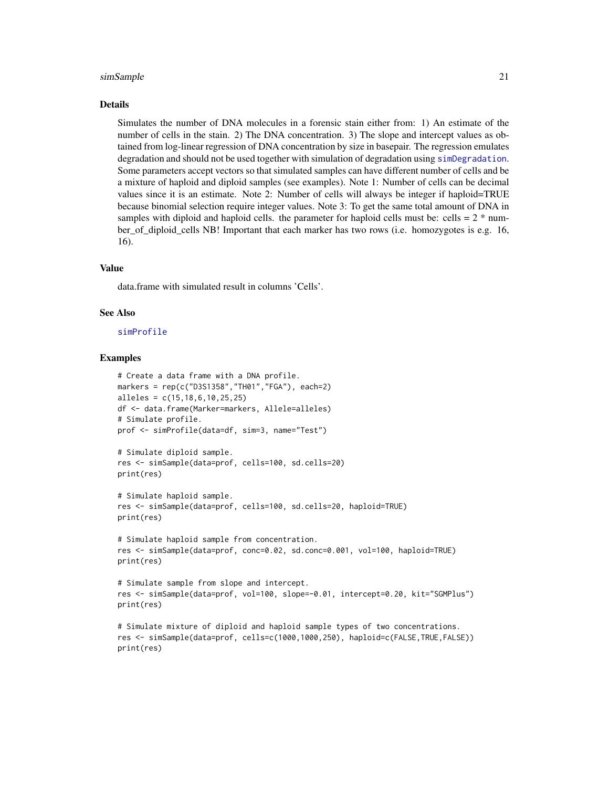#### <span id="page-20-0"></span>simSample 21

#### Details

Simulates the number of DNA molecules in a forensic stain either from: 1) An estimate of the number of cells in the stain. 2) The DNA concentration. 3) The slope and intercept values as obtained from log-linear regression of DNA concentration by size in basepair. The regression emulates degradation and should not be used together with simulation of degradation using [simDegradation](#page-11-1). Some parameters accept vectors so that simulated samples can have different number of cells and be a mixture of haploid and diploid samples (see examples). Note 1: Number of cells can be decimal values since it is an estimate. Note 2: Number of cells will always be integer if haploid=TRUE because binomial selection require integer values. Note 3: To get the same total amount of DNA in samples with diploid and haploid cells. the parameter for haploid cells must be: cells  $= 2$  \* number\_of\_diploid\_cells NB! Important that each marker has two rows (i.e. homozygotes is e.g. 16, 16).

#### Value

data.frame with simulated result in columns 'Cells'.

#### See Also

[simProfile](#page-18-1)

#### Examples

```
# Create a data frame with a DNA profile.
markers = rep(c("D3S1358","TH01","FGA"), each=2)
alleles = c(15,18,6,10,25,25)
df <- data.frame(Marker=markers, Allele=alleles)
# Simulate profile.
prof <- simProfile(data=df, sim=3, name="Test")
```

```
# Simulate diploid sample.
res <- simSample(data=prof, cells=100, sd.cells=20)
print(res)
```

```
# Simulate haploid sample.
res <- simSample(data=prof, cells=100, sd.cells=20, haploid=TRUE)
print(res)
```

```
# Simulate haploid sample from concentration.
res <- simSample(data=prof, conc=0.02, sd.conc=0.001, vol=100, haploid=TRUE)
print(res)
```

```
# Simulate sample from slope and intercept.
res <- simSample(data=prof, vol=100, slope=-0.01, intercept=0.20, kit="SGMPlus")
print(res)
```

```
# Simulate mixture of diploid and haploid sample types of two concentrations.
res <- simSample(data=prof, cells=c(1000,1000,250), haploid=c(FALSE,TRUE,FALSE))
print(res)
```